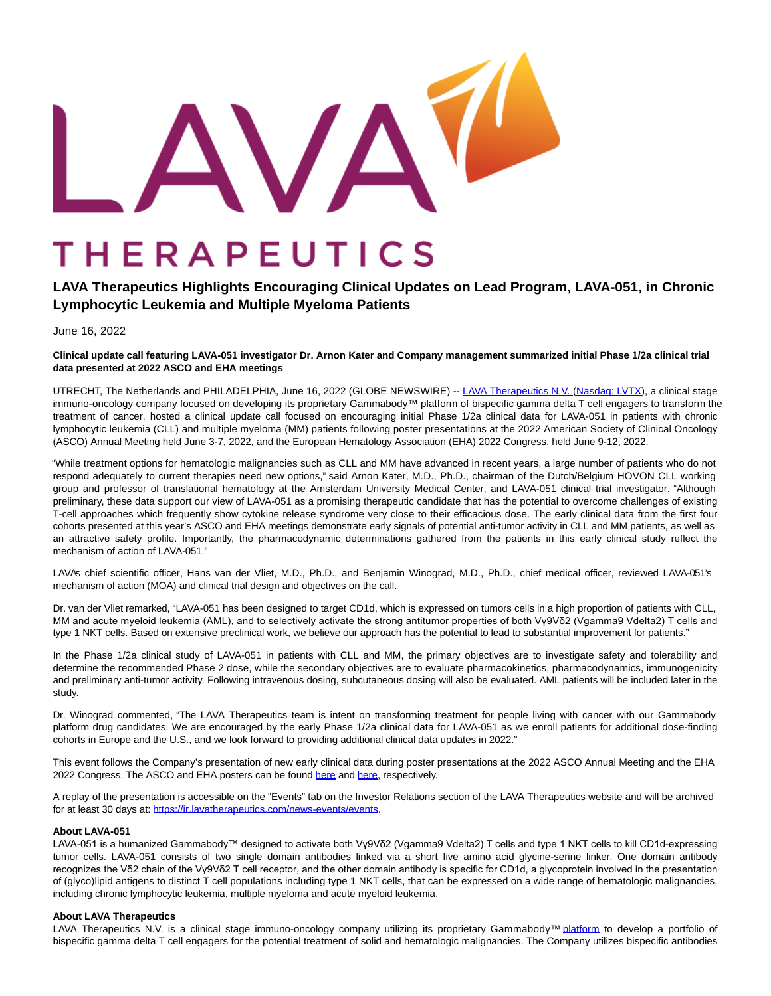# THERAPEUTICS

## **LAVA Therapeutics Highlights Encouraging Clinical Updates on Lead Program, LAVA-051, in Chronic Lymphocytic Leukemia and Multiple Myeloma Patients**

June 16, 2022

**Clinical update call featuring LAVA-051 investigator Dr. Arnon Kater and Company management summarized initial Phase 1/2a clinical trial data presented at 2022 ASCO and EHA meetings**

UTRECHT, The Netherlands and PHILADELPHIA, June 16, 2022 (GLOBE NEWSWIRE) -- [LAVA Therapeutics N.V. \(](https://www.globenewswire.com/Tracker?data=3Nal-DULYyfYlxzacJtjceHtCnG_sSSefy-QNmWQwAgtlziiEcJQkV4zMlfvvE2pa8MIo3lxfRckyU5p7JoZ9TdkH7R_XvVoA7PY__WHcFs=)[Nasdaq: LVTX\),](https://www.globenewswire.com/Tracker?data=XlNiqX4E68j3UVpbPW-MEM-jnL-5JxEbVNetr2mB5jzK9I9qIyC1awPEQb8QblWr0JGq3nlFozctCCUCKqZCXLOz8Twe9b6-ZRq7hugxCMTfnZ0RpA79elthSme5pPOq) a clinical stage immuno-oncology company focused on developing its proprietary Gammabody™ platform of bispecific gamma delta T cell engagers to transform the treatment of cancer, hosted a clinical update call focused on encouraging initial Phase 1/2a clinical data for LAVA-051 in patients with chronic lymphocytic leukemia (CLL) and multiple myeloma (MM) patients following poster presentations at the 2022 American Society of Clinical Oncology (ASCO) Annual Meeting held June 3-7, 2022, and the European Hematology Association (EHA) 2022 Congress, held June 9-12, 2022.

"While treatment options for hematologic malignancies such as CLL and MM have advanced in recent years, a large number of patients who do not respond adequately to current therapies need new options," said Arnon Kater, M.D., Ph.D., chairman of the Dutch/Belgium HOVON CLL working group and professor of translational hematology at the Amsterdam University Medical Center, and LAVA-051 clinical trial investigator. "Although preliminary, these data support our view of LAVA-051 as a promising therapeutic candidate that has the potential to overcome challenges of existing T-cell approaches which frequently show cytokine release syndrome very close to their efficacious dose. The early clinical data from the first four cohorts presented at this year's ASCO and EHA meetings demonstrate early signals of potential anti-tumor activity in CLL and MM patients, as well as an attractive safety profile. Importantly, the pharmacodynamic determinations gathered from the patients in this early clinical study reflect the mechanism of action of LAVA-051."

LAVA's chief scientific officer, Hans van der Vliet, M.D., Ph.D., and Benjamin Winograd, M.D., Ph.D., chief medical officer, reviewed LAVA-051's mechanism of action (MOA) and clinical trial design and objectives on the call.

Dr. van der Vliet remarked, "LAVA-051 has been designed to target CD1d, which is expressed on tumors cells in a high proportion of patients with CLL, MM and acute myeloid leukemia (AML), and to selectively activate the strong antitumor properties of both Vγ9Vδ2 (Vgamma9 Vdelta2) T cells and type 1 NKT cells. Based on extensive preclinical work, we believe our approach has the potential to lead to substantial improvement for patients."

In the Phase 1/2a clinical study of LAVA-051 in patients with CLL and MM, the primary objectives are to investigate safety and tolerability and determine the recommended Phase 2 dose, while the secondary objectives are to evaluate pharmacokinetics, pharmacodynamics, immunogenicity and preliminary anti-tumor activity. Following intravenous dosing, subcutaneous dosing will also be evaluated. AML patients will be included later in the study.

Dr. Winograd commented, "The LAVA Therapeutics team is intent on transforming treatment for people living with cancer with our Gammabody platform drug candidates. We are encouraged by the early Phase 1/2a clinical data for LAVA-051 as we enroll patients for additional dose-finding cohorts in Europe and the U.S., and we look forward to providing additional clinical data updates in 2022."

This event follows the Company's presentation of new early clinical data during poster presentations at the 2022 ASCO Annual Meeting and the EHA 2022 Congress. The ASCO and EHA posters can be found [here a](https://www.globenewswire.com/Tracker?data=wzBfCB1dSOWFiuGs3hJ8hbqF3boK7m_CWXEcdBi8wHroX7zGtYSmYihD2XH4T3YcGTsEIye5LuLcyd3hJyavnzdUPMy6UjNudRkgH3MzIsN_JeSMYQeFtS2VhxqX3MgmHptJYzUAwFY393y13IZytsrcGT-kyW9ridET1JCKaEw=)nd [here,](https://www.globenewswire.com/Tracker?data=2biH6lxyt4rmUcQKpsv1VrPSX2cGVKTM5_cN7U9QyqtzJR1jiOSEigFuK_V-2J2kS2vHGf9b3ZFxGkrO67s42ylObUVSgdxxvf8DEsXincC1uD5CCLZmpwFtcW-WR-WW205u99IBRnFDCFNAMGP90O15g_A64qCdAs2Tkvg_tyFaN3mOlDLY5eJoVAr3XAJX) respectively.

A replay of the presentation is accessible on the "Events" tab on the Investor Relations section of the LAVA Therapeutics website and will be archived for at least 30 days at: [https://ir.lavatherapeutics.com/news-events/events.](https://www.globenewswire.com/Tracker?data=xE4tuEUBIOpU2EkU-3iaxaleBCJ_urinwkMkGZ7IHBYno0BgtwF5ogR5XvgCE8EUyjJA24PCxG1-XG2u_-YG_ASxfHrnhRG4YycNkJ03oZkdkPQZ_KZkdU-8hVD2XhnQerQsvVV8d4JtkhxZLipve7sZQlcZ2OYEXHwmhHcd-hI=)

#### **About LAVA-051**

LAVA-051 is a humanized Gammabody™ designed to activate both Vγ9Vδ2 (Vgamma9 Vdelta2) T cells and type 1 NKT cells to kill CD1d-expressing tumor cells. LAVA-051 consists of two single domain antibodies linked via a short five amino acid glycine-serine linker. One domain antibody recognizes the Vδ2 chain of the Vγ9Vδ2 T cell receptor, and the other domain antibody is specific for CD1d, a glycoprotein involved in the presentation of (glyco)lipid antigens to distinct T cell populations including type 1 NKT cells, that can be expressed on a wide range of hematologic malignancies, including chronic lymphocytic leukemia, multiple myeloma and acute myeloid leukemia.

#### **About LAVA Therapeutics**

LAVA Therapeutics N.V. is a clinical stage immuno-oncology company utilizing its proprietary Gammabody[™ platform](https://www.globenewswire.com/Tracker?data=EFbNkG3QCjeMzu1-S7_-9ThP1Az3LjZjv2SJUtx35M2xPVUL9XmVgdQUZFeEvoDXb2nEV4gw0exEOYyybtlSMta-SIWbKkUKnoHSK19xVMHM59--96JfRohYSF92eNX5kex4HA9j4xLQrMXsPvsWXw==) to develop a portfolio of bispecific gamma delta T cell engagers for the potential treatment of solid and hematologic malignancies. The Company utilizes bispecific antibodies